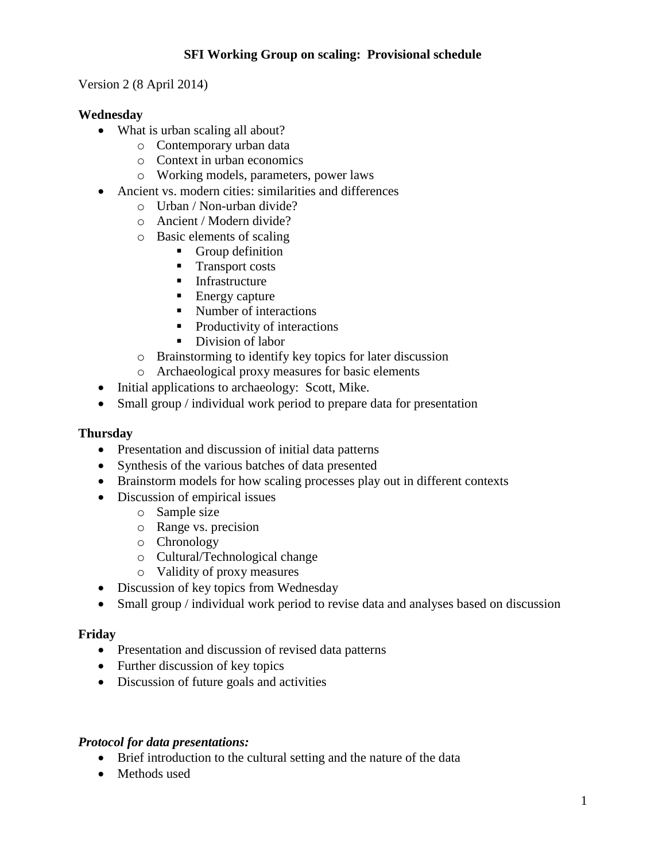# **SFI Working Group on scaling: Provisional schedule**

Version 2 (8 April 2014)

## **Wednesday**

- What is urban scaling all about?
	- o Contemporary urban data
	- o Context in urban economics
	- o Working models, parameters, power laws
- Ancient vs. modern cities: similarities and differences
	- o Urban / Non-urban divide?
	- o Ancient / Modern divide?
	- o Basic elements of scaling
		- Group definition
		- Transport costs
		- **Infrastructure**
		- Energy capture
		- Number of interactions
		- Productivity of interactions
		- Division of labor
	- o Brainstorming to identify key topics for later discussion
	- o Archaeological proxy measures for basic elements
- Initial applications to archaeology: Scott, Mike.
- Small group / individual work period to prepare data for presentation

### **Thursday**

- Presentation and discussion of initial data patterns
- Synthesis of the various batches of data presented
- Brainstorm models for how scaling processes play out in different contexts
- Discussion of empirical issues
	- o Sample size
	- o Range vs. precision
	- o Chronology
	- o Cultural/Technological change
	- o Validity of proxy measures
- Discussion of key topics from Wednesday
- Small group / individual work period to revise data and analyses based on discussion

### **Friday**

- Presentation and discussion of revised data patterns
- Further discussion of key topics
- Discussion of future goals and activities

### *Protocol for data presentations:*

- Brief introduction to the cultural setting and the nature of the data
- Methods used